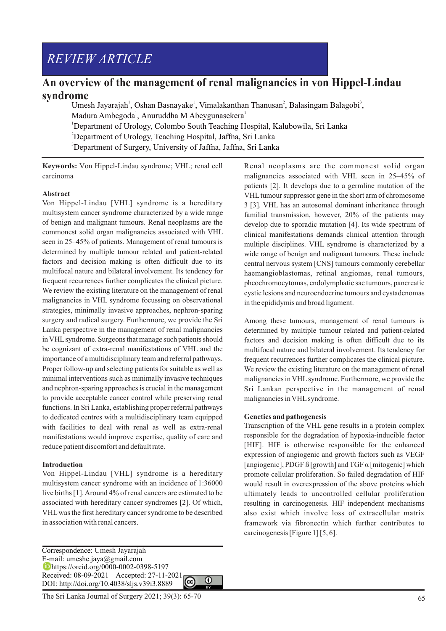# *REVIEW ARTICLE*

# **An overview of the management of renal malignancies in von Hippel-Lindau syndrome**

Umesh Jayarajah<sup>1</sup>, Oshan Basnayake<sup>1</sup>, Vimalakanthan Thanusan<sup>2</sup>, Balasingam Balagobi<sup>3</sup>, Madura Ambegoda<sup>1</sup>, Anuruddha M Abeygunasekera<sup>1</sup> <sup>1</sup>Department of Urology, Colombo South Teaching Hospital, Kalubowila, Sri Lanka <sup>2</sup>Department of Urology, Teaching Hospital, Jaffna, Sri Lanka <sup>3</sup>Department of Surgery, University of Jaffna, Jaffna, Sri Lanka

**Keywords:** Von Hippel-Lindau syndrome; VHL; renal cell carcinoma

#### **Abstract**

Von Hippel-Lindau [VHL] syndrome is a hereditary multisystem cancer syndrome characterized by a wide range of benign and malignant tumours. Renal neoplasms are the commonest solid organ malignancies associated with VHL seen in 25–45% of patients. Management of renal tumours is determined by multiple tumour related and patient-related factors and decision making is often difficult due to its multifocal nature and bilateral involvement. Its tendency for frequent recurrences further complicates the clinical picture. We review the existing literature on the management of renal malignancies in VHL syndrome focussing on observational strategies, minimally invasive approaches, nephron-sparing surgery and radical surgery. Furthermore, we provide the Sri Lanka perspective in the management of renal malignancies in VHLsyndrome. Surgeons that manage such patients should be cognizant of extra-renal manifestations of VHL and the importance of a multidisciplinary team and referral pathways. Proper follow-up and selecting patients for suitable as well as minimal interventions such as minimally invasive techniques and nephron-sparing approaches is crucial in the management to provide acceptable cancer control while preserving renal functions. In Sri Lanka, establishing proper referral pathways to dedicated centres with a multidisciplinary team equipped with facilities to deal with renal as well as extra-renal manifestations would improve expertise, quality of care and reduce patient discomfort and default rate.

#### **Introduction**

Von Hippel-Lindau [VHL] syndrome is a hereditary multisystem cancer syndrome with an incidence of 1:36000 live births [1]. Around 4% of renal cancers are estimated to be associated with hereditary cancer syndromes [2]. Of which, VHLwas the first hereditary cancer syndrome to be described in association with renal cancers.

Correspondence: Umesh Jayarajah E-mail: umeshe.jaya@gmail.com https://orcid.org/0000-0002-0398-5197 **Dhttps://orcid.org/volution-volution-2021**<br>Received: 08-09-2021 Accepted: 27-11-2021 DOI: http://doi.org/10.4038/sljs.v39i3.8889

Renal neoplasms are the commonest solid organ malignancies associated with VHL seen in 25–45% of patients [2]. It develops due to a germline mutation of the VHL tumour suppressor gene in the short arm of chromosome 3 [3]. VHL has an autosomal dominant inheritance through familial transmission, however, 20% of the patients may develop due to sporadic mutation [4]. Its wide spectrum of clinical manifestations demands clinical attention through multiple disciplines. VHL syndrome is characterized by a wide range of benign and malignant tumours. These include central nervous system [CNS] tumours commonly cerebellar haemangioblastomas, retinal angiomas, renal tumours, pheochromocytomas, endolymphatic sac tumours, pancreatic cystic lesions and neuroendocrine tumours and cystadenomas in the epididymis and broad ligament.

Among these tumours, management of renal tumours is determined by multiple tumour related and patient-related factors and decision making is often difficult due to its multifocal nature and bilateral involvement. Its tendency for frequent recurrences further complicates the clinical picture. We review the existing literature on the management of renal malignancies in VHLsyndrome. Furthermore, we provide the Sri Lankan perspective in the management of renal malignancies in VHLsyndrome.

#### **Genetics and pathogenesis**

Transcription of the VHL gene results in a protein complex responsible for the degradation of hypoxia-inducible factor [HIF]. HIF is otherwise responsible for the enhanced expression of angiogenic and growth factors such as VEGF [angiogenic], PDGF  $\beta$  [growth] and TGF  $\alpha$  [mitogenic] which promote cellular proliferation. So failed degradation of HIF would result in overexpression of the above proteins which ultimately leads to uncontrolled cellular proliferation resulting in carcinogenesis. HIF independent mechanisms also exist which involve loss of extracellular matrix framework via fibronectin which further contributes to carcinogenesis [Figure 1] [5, 6].

 $\Omega$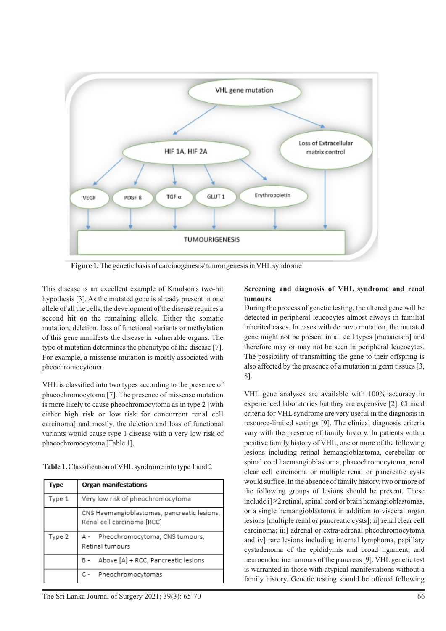

**Figure 1.** The genetic basis of carcinogenesis/ tumorigenesis in VHLsyndrome

This disease is an excellent example of Knudson's two-hit hypothesis [3]. As the mutated gene is already present in one allele of all the cells, the development of the disease requires a second hit on the remaining allele. Either the somatic mutation, deletion, loss of functional variants or methylation of this gene manifests the disease in vulnerable organs. The type of mutation determines the phenotype of the disease [7]. For example, a missense mutation is mostly associated with pheochromocytoma.

VHL is classified into two types according to the presence of phaeochromocytoma [7]. The presence of missense mutation is more likely to cause pheochromocytoma as in type 2 [with either high risk or low risk for concurrent renal cell carcinoma] and mostly, the deletion and loss of functional variants would cause type 1 disease with a very low risk of phaeochromocytoma [Table 1].

Table 1. Classification of VHL syndrome into type 1 and 2

| Type   | Organ manifestations                                                      |
|--------|---------------------------------------------------------------------------|
| Type 1 | Very low risk of pheochromocytoma                                         |
|        | CNS Haemangioblastomas, pancreatic lesions,<br>Renal cell carcinoma [RCC] |
| Type 2 | A - Pheochromocytoma, CNS tumours,<br>Retinal tumours                     |
|        | B - Above [A] + RCC, Pancreatic lesions                                   |
|        | C- Pheochromocytomas                                                      |

# **Screening and diagnosis of VHL syndrome and renal tumours**

During the process of genetic testing, the altered gene will be detected in peripheral leucocytes almost always in familial inherited cases. In cases with de novo mutation, the mutated gene might not be present in all cell types [mosaicism] and therefore may or may not be seen in peripheral leucocytes. The possibility of transmitting the gene to their offspring is also affected by the presence of a mutation in germ tissues [3, 8].

VHL gene analyses are available with 100% accuracy in experienced laboratories but they are expensive [2]. Clinical criteria for VHL syndrome are very useful in the diagnosis in resource-limited settings [9]. The clinical diagnosis criteria vary with the presence of family history. In patients with a positive family history of VHL, one or more of the following lesions including retinal hemangioblastoma, cerebellar or spinal cord haemangioblastoma, phaeochromocytoma, renal clear cell carcinoma or multiple renal or pancreatic cysts would suffice. In the absence of family history, two or more of the following groups of lesions should be present. These include i]  $\geq$ 2 retinal, spinal cord or brain hemangioblastomas, or a single hemangioblastoma in addition to visceral organ lesions [multiple renal or pancreatic cysts]; ii] renal clear cell carcinoma; iii] adrenal or extra-adrenal pheochromocytoma and iv] rare lesions including internal lymphoma, papillary cystadenoma of the epididymis and broad ligament, and neuroendocrine tumours of the pancreas [9]. VHL genetic test is warranted in those with atypical manifestations without a family history. Genetic testing should be offered following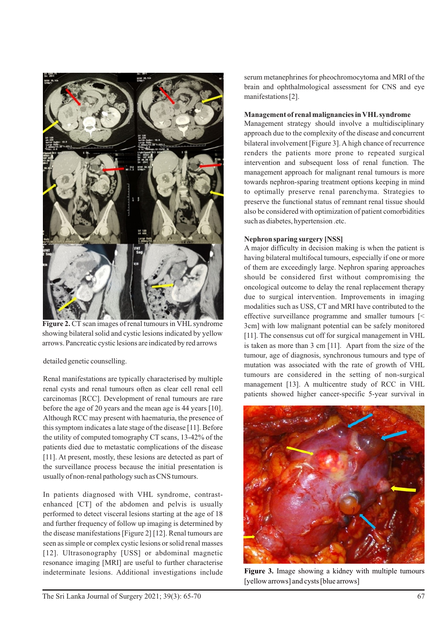

Figure 2. CT scan images of renal tumours in VHL syndrome showing bilateral solid and cystic lesions indicated by yellow arrows. Pancreatic cystic lesions are indicated by red arrows

detailed genetic counselling.

Renal manifestations are typically characterised by multiple renal cysts and renal tumours often as clear cell renal cell carcinomas [RCC]. Development of renal tumours are rare before the age of 20 years and the mean age is 44 years [10]. Although RCC may present with haematuria, the presence of this symptom indicates a late stage of the disease [11]. Before the utility of computed tomography CT scans, 13-42% of the patients died due to metastatic complications of the disease [11]. At present, mostly, these lesions are detected as part of the surveillance process because the initial presentation is usually of non-renal pathology such as CNS tumours.

In patients diagnosed with VHL syndrome, contrastenhanced [CT] of the abdomen and pelvis is usually performed to detect visceral lesions starting at the age of 18 and further frequency of follow up imaging is determined by the disease manifestations [Figure 2] [12]. Renal tumours are seen as simple or complex cystic lesions or solid renal masses [12]. Ultrasonography [USS] or abdominal magnetic resonance imaging [MRI] are useful to further characterise indeterminate lesions. Additional investigations include

serum metanephrines for pheochromocytoma and MRI of the brain and ophthalmological assessment for CNS and eye manifestations [2].

# **Management of renal malignancies in VHLsyndrome**

Management strategy should involve a multidisciplinary approach due to the complexity of the disease and concurrent bilateral involvement [Figure 3]. Ahigh chance of recurrence renders the patients more prone to repeated surgical intervention and subsequent loss of renal function. The management approach for malignant renal tumours is more towards nephron-sparing treatment options keeping in mind to optimally preserve renal parenchyma. Strategies to preserve the functional status of remnant renal tissue should also be considered with optimization of patient comorbidities such as diabetes, hypertension .etc.

# **Nephron sparing surgery [NSS]**

A major difficulty in decision making is when the patient is having bilateral multifocal tumours, especially if one or more of them are exceedingly large. Nephron sparing approaches should be considered first without compromising the oncological outcome to delay the renal replacement therapy due to surgical intervention. Improvements in imaging modalities such as USS, CT and MRI have contributed to the effective surveillance programme and smaller tumours [< 3cm] with low malignant potential can be safely monitored [11]. The consensus cut off for surgical management in VHL is taken as more than 3 cm [11]. Apart from the size of the tumour, age of diagnosis, synchronous tumours and type of mutation was associated with the rate of growth of VHL tumours are considered in the setting of non-surgical management [13]. A multicentre study of RCC in VHL patients showed higher cancer-specific 5-year survival in



**Figure 3.** Image showing a kidney with multiple tumours [yellow arrows] and cysts [blue arrows]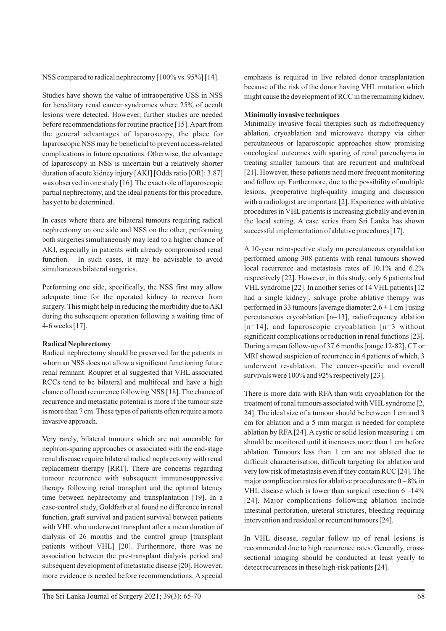NSS compared to radical nephrectomy [100% vs. 95%] [14].

Studies have shown the value of intraoperative USS in NSS for hereditary renal cancer syndromes where 25% of occult lesions were detected. However, further studies are needed before recommendations for routine practice [15]. Apart from the general advantages of laparoscopy, the place for laparoscopic NSS may be beneficial to prevent access-related complications in future operations. Otherwise, the advantage of laparoscopy in NSS is uncertain but a relatively shorter duration of acute kidney injury [AKI] [Odds ratio [OR]: 3.87] was observed in one study [16]. The exact role of laparoscopic partial nephrectomy, and the ideal patients for this procedure, has yet to be determined.

In cases where there are bilateral tumours requiring radical nephrectomy on one side and NSS on the other, performing both surgeries simultaneously may lead to a higher chance of AKI, especially in patients with already compromised renal function. In such cases, it may be advisable to avoid simultaneous bilateral surgeries.

Performing one side, specifically, the NSS first may allow adequate time for the operated kidney to recover from surgery. This might help in reducing the morbidity due to AKI during the subsequent operation following a waiting time of 4-6 weeks [17].

#### **Radical Nephrectomy**

Radical nephrectomy should be preserved for the patients in whom an NSS does not allow a significant functioning future renal remnant. Roupret et al suggested that VHL associated RCCs tend to be bilateral and multifocal and have a high chance of local recurrence following NSS [18]. The chance of recurrence and metastatic potential is more if the tumour size is more than 7 cm. These types of patients often require a more invasive approach.

Very rarely, bilateral tumours which are not amenable for nephron-sparing approaches or associated with the end-stage renal disease require bilateral radical nephrectomy with renal replacement therapy [RRT]. There are concerns regarding tumour recurrence with subsequent immunosuppressive therapy following renal transplant and the optimal latency time between nephrectomy and transplantation [19]. In a case-control study, Goldfarb et al found no difference in renal function, graft survival and patient survival between patients with VHL who underwent transplant after a mean duration of dialysis of 26 months and the control group [transplant patients without VHL] [20]. Furthermore, there was no association between the pre-transplant dialysis period and subsequent development of metastatic disease [20]. However, more evidence is needed before recommendations. A special

emphasis is required in live related donor transplantation because of the risk of the donor having VHL mutation which might cause the development of RCC in the remaining kidney.

# **Minimally invasive techniques**

Minimally invasive focal therapies such as radiofrequency ablation, cryoablation and microwave therapy via either percutaneous or laparoscopic approaches show promising oncological outcomes with sparing of renal parenchyma in treating smaller tumours that are recurrent and multifocal [21]. However, these patients need more frequent monitoring and follow up. Furthermore, due to the possibility of multiple lesions, preoperative high-quality imaging and discussion with a radiologist are important [2]. Experience with ablative procedures in VHLpatients is increasing globally and even in the local setting. A case series from Sri Lanka has shown successful implementation of ablative procedures [17].

A 10-year retrospective study on percutaneous cryoablation performed among 308 patients with renal tumours showed local recurrence and metastasis rates of 10.1% and 6.2% respectively [22]. However, in this study, only 6 patients had VHL syndrome [22]. In another series of 14 VHL patients [12] had a single kidney], salvage probe ablative therapy was performed in 33 tumours [average diameter  $2.6 \pm 1$  cm ] using percutaneous cryoablation [n=13], radiofrequency ablation  $[n=14]$ , and laparoscopic cryoablation  $[n=3$  without significant complications or reduction in renal functions [23]. During a mean follow-up of 37.6 months [range 12-82], CTor MRI showed suspicion of recurrence in 4 patients of which, 3 underwent re-ablation. The cancer-specific and overall survivals were 100% and 92% respectively [23].

There is more data with RFA than with cryoablation for the treatment of renal tumours associated with VHLsyndrome [2, 24]. The ideal size of a tumour should be between 1 cm and 3 cm for ablation and a 5 mm margin is needed for complete ablation by RFA[24]. Acystic or solid lesion measuring 1 cm should be monitored until it increases more than 1 cm before ablation. Tumours less than 1 cm are not ablated due to difficult characterisation, difficult targeting for ablation and very low risk of metastasis even if they contain RCC [24]. The major complication rates for ablative procedures are  $0 - 8\%$  in VHL disease which is lower than surgical resection  $6 - 14\%$ [24]. Major complications following ablation include intestinal perforation, ureteral strictures, bleeding requiring intervention and residual or recurrent tumours [24].

In VHL disease, regular follow up of renal lesions is recommended due to high recurrence rates. Generally, crosssectional imaging should be conducted at least yearly to detect recurrences in these high-risk patients [24].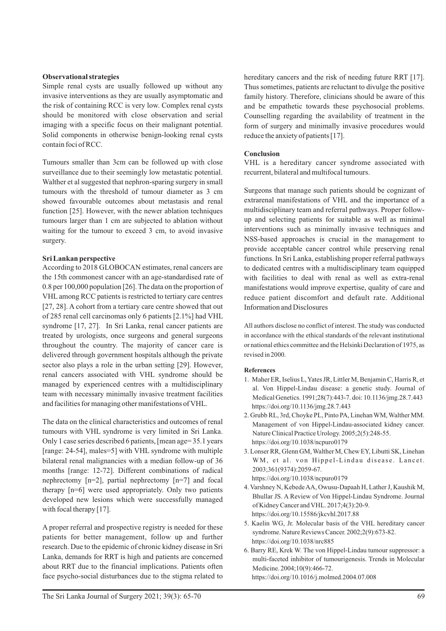# **Observational strategies**

Simple renal cysts are usually followed up without any invasive interventions as they are usually asymptomatic and the risk of containing RCC is very low. Complex renal cysts should be monitored with close observation and serial imaging with a specific focus on their malignant potential. Solid components in otherwise benign-looking renal cysts contain foci of RCC.

Tumours smaller than 3cm can be followed up with close surveillance due to their seemingly low metastatic potential. Walther et al suggested that nephron-sparing surgery in small tumours with the threshold of tumour diameter as 3 cm showed favourable outcomes about metastasis and renal function [25]. However, with the newer ablation techniques tumours larger than 1 cm are subjected to ablation without waiting for the tumour to exceed 3 cm, to avoid invasive surgery.

# **Sri Lankan perspective**

According to 2018 GLOBOCAN estimates, renal cancers are the 15th commonest cancer with an age-standardised rate of 0.8 per 100,000 population [26]. The data on the proportion of VHLamong RCC patients is restricted to tertiary care centres [27, 28]. A cohort from a tertiary care centre showed that out of 285 renal cell carcinomas only 6 patients [2.1%] had VHL syndrome [17, 27]. In Sri Lanka, renal cancer patients are treated by urologists, once surgeons and general surgeons throughout the country. The majority of cancer care is delivered through government hospitals although the private sector also plays a role in the urban setting [29]. However, renal cancers associated with VHL syndrome should be managed by experienced centres with a multidisciplinary team with necessary minimally invasive treatment facilities and facilities for managing other manifestations of VHL.

The data on the clinical characteristics and outcomes of renal tumours with VHL syndrome is very limited in Sri Lanka. Only 1 case series described 6 patients, [mean age= 35.1 years [range: 24-54], males=5] with VHL syndrome with multiple bilateral renal malignancies with a median follow-up of 36 months [range: 12-72]. Different combinations of radical nephrectomy [n=2], partial nephrectomy [n=7] and focal therapy [n=6] were used appropriately. Only two patients developed new lesions which were successfully managed with focal therapy [17].

A proper referral and prospective registry is needed for these patients for better management, follow up and further research. Due to the epidemic of chronic kidney disease in Sri Lanka, demands for RRT is high and patients are concerned about RRT due to the financial implications. Patients often face psycho-social disturbances due to the stigma related to

hereditary cancers and the risk of needing future RRT [17]. Thus sometimes, patients are reluctant to divulge the positive family history. Therefore, clinicians should be aware of this and be empathetic towards these psychosocial problems. Counselling regarding the availability of treatment in the form of surgery and minimally invasive procedures would reduce the anxiety of patients [17].

# **Conclusion**

VHL is a hereditary cancer syndrome associated with recurrent, bilateral and multifocal tumours.

Surgeons that manage such patients should be cognizant of extrarenal manifestations of VHL and the importance of a multidisciplinary team and referral pathways. Proper followup and selecting patients for suitable as well as minimal interventions such as minimally invasive techniques and NSS-based approaches is crucial in the management to provide acceptable cancer control while preserving renal functions. In Sri Lanka, establishing proper referral pathways to dedicated centres with a multidisciplinary team equipped with facilities to deal with renal as well as extra-renal manifestations would improve expertise, quality of care and reduce patient discomfort and default rate. Additional Information and Disclosures

All authors disclose no conflict of interest. The study was conducted in accordance with the ethical standards of the relevant institutional or national ethics committee and the Helsinki Declaration of 1975, as revised in 2000.

# **References**

- 1. Maher ER, Iselius L, Yates JR, Littler M, Benjamin C, Harris R, et al. Von Hippel-Lindau disease: a genetic study. Journal of Medical Genetics. 1991;28(7):443-7. doi: 10.1136/jmg.28.7.443 https://doi.org/10.1136/jmg.28.7.443
- 2. Grubb RL, 3rd, Choyke PL, Pinto PA, Linehan WM, Walther MM. Management of von Hippel-Lindau-associated kidney cancer. Nature Clinical Practice Urology. 2005;2(5):248-55. https://doi.org/10.1038/ncpuro0179
- 3. Lonser RR, Glenn GM, Walther M, Chew EY, Libutti SK, Linehan WM, et al. von Hippel-Lindau disease. Lancet. 2003;361(9374):2059-67. https://doi.org/10.1038/ncpuro0179
- 4. Varshney N, Kebede AA, Owusu-Dapaah H, Lather J, Kaushik M, Bhullar JS. A Review of Von Hippel-Lindau Syndrome. Journal of Kidney Cancer and VHL. 2017;4(3):20-9. https://doi.org/10.15586/jkcvhl.2017.88
- 5. Kaelin WG, Jr. Molecular basis of the VHL hereditary cancer syndrome. Nature Reviews Cancer. 2002;2(9):673-82. https://doi.org/10.1038/nrc885
- 6. Barry RE, Krek W. The von Hippel-Lindau tumour suppressor: a multi-faceted inhibitor of tumourigenesis. Trends in Molecular Medicine. 2004;10(9):466-72. https://doi.org/10.1016/j.molmed.2004.07.008